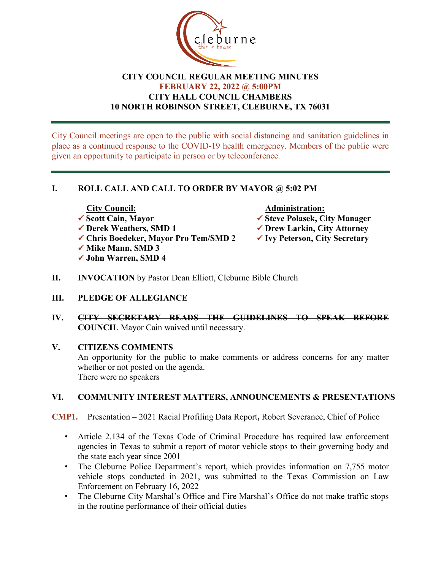

# **CITY COUNCIL REGULAR MEETING MINUTES FEBRUARY 22, 2022 @ 5:00PM CITY HALL COUNCIL CHAMBERS 10 NORTH ROBINSON STREET, CLEBURNE, TX 76031**

City Council meetings are open to the public with social distancing and sanitation guidelines in place as a continued response to the COVID-19 health emergency. Members of the public were given an opportunity to participate in person or by teleconference.

# **I. ROLL CALL AND CALL TO ORDER BY MAYOR @ 5:02 PM**

- City Council: <br>
<del>△ Scott</del> Cain, Mavor <br>
△ Steve Polasek, C
- 
- **Chris Boedeker, Mayor Pro Tem/SMD 2 Ivy Peterson, City Secretary**
- **√ Mike Mann, SMD 3**
- **John Warren, SMD 4**

- **✓ Steve Polasek, City Manager**
- **Derek Weathers, SMD 1 Drew Larkin, City Attorney**
	-
- **II. INVOCATION** by Pastor Dean Elliott, Cleburne Bible Church
- **III. PLEDGE OF ALLEGIANCE**
- **IV. CITY SECRETARY READS THE GUIDELINES TO SPEAK BEFORE COUNCIL** Mayor Cain waived until necessary.

# **V. CITIZENS COMMENTS**

An opportunity for the public to make comments or address concerns for any matter whether or not posted on the agenda. There were no speakers

# **VI. COMMUNITY INTEREST MATTERS, ANNOUNCEMENTS & PRESENTATIONS**

- **CMP1.** Presentation 2021 Racial Profiling Data Report**,** Robert Severance, Chief of Police
	- Article 2.134 of the Texas Code of Criminal Procedure has required law enforcement agencies in Texas to submit a report of motor vehicle stops to their governing body and the state each year since 2001
	- The Cleburne Police Department's report, which provides information on 7,755 motor vehicle stops conducted in 2021, was submitted to the Texas Commission on Law Enforcement on February 16, 2022
	- The Cleburne City Marshal's Office and Fire Marshal's Office do not make traffic stops in the routine performance of their official duties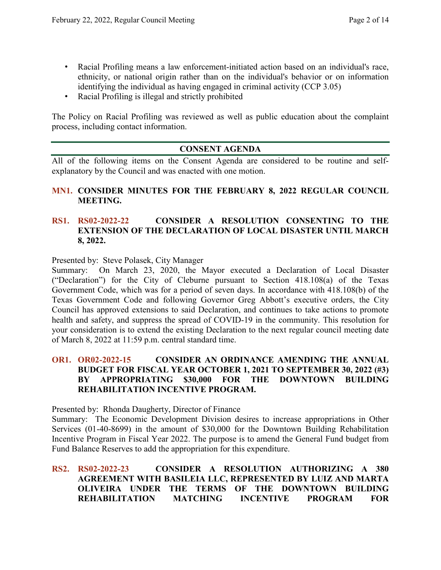- Racial Profiling means a law enforcement-initiated action based on an individual's race, ethnicity, or national origin rather than on the individual's behavior or on information identifying the individual as having engaged in criminal activity (CCP 3.05)
- Racial Profiling is illegal and strictly prohibited

The Policy on Racial Profiling was reviewed as well as public education about the complaint process, including contact information.

# **CONSENT AGENDA**

All of the following items on the Consent Agenda are considered to be routine and selfexplanatory by the Council and was enacted with one motion.

# **MN1. CONSIDER MINUTES FOR THE FEBRUARY 8, 2022 REGULAR COUNCIL MEETING.**

## **RS1. RS02-2022-22 CONSIDER A RESOLUTION CONSENTING TO THE EXTENSION OF THE DECLARATION OF LOCAL DISASTER UNTIL MARCH 8, 2022.**

Presented by: Steve Polasek, City Manager

Summary: On March 23, 2020, the Mayor executed a Declaration of Local Disaster ("Declaration") for the City of Cleburne pursuant to Section 418.108(a) of the Texas Government Code, which was for a period of seven days. In accordance with 418.108(b) of the Texas Government Code and following Governor Greg Abbott's executive orders, the City Council has approved extensions to said Declaration, and continues to take actions to promote health and safety, and suppress the spread of COVID-19 in the community. This resolution for your consideration is to extend the existing Declaration to the next regular council meeting date of March 8, 2022 at 11:59 p.m. central standard time.

# **OR1. OR02-2022-15 CONSIDER AN ORDINANCE AMENDING THE ANNUAL BUDGET FOR FISCAL YEAR OCTOBER 1, 2021 TO SEPTEMBER 30, 2022 (#3) BY APPROPRIATING \$30,000 FOR THE DOWNTOWN BUILDING REHABILITATION INCENTIVE PROGRAM.**

Presented by: Rhonda Daugherty, Director of Finance

Summary: The Economic Development Division desires to increase appropriations in Other Services (01-40-8699) in the amount of \$30,000 for the Downtown Building Rehabilitation Incentive Program in Fiscal Year 2022. The purpose is to amend the General Fund budget from Fund Balance Reserves to add the appropriation for this expenditure.

# **RS2. RS02-2022-23 CONSIDER A RESOLUTION AUTHORIZING A 380 AGREEMENT WITH BASILEIA LLC, REPRESENTED BY LUIZ AND MARTA OLIVEIRA UNDER THE TERMS OF THE DOWNTOWN BUILDING REHABILITATION MATCHING INCENTIVE PROGRAM FOR**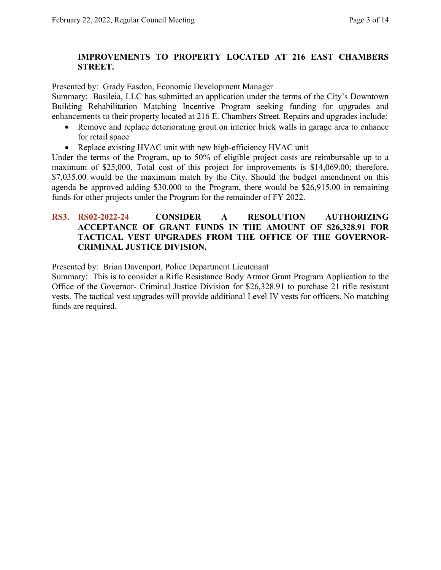## **IMPROVEMENTS TO PROPERTY LOCATED AT 216 EAST CHAMBERS STREET.**

Presented by: Grady Easdon, Economic Development Manager

Summary: Basileia, LLC has submitted an application under the terms of the City's Downtown Building Rehabilitation Matching Incentive Program seeking funding for upgrades and enhancements to their property located at 216 E. Chambers Street. Repairs and upgrades include:

- Remove and replace deteriorating grout on interior brick walls in garage area to enhance for retail space
- Replace existing HVAC unit with new high-efficiency HVAC unit

Under the terms of the Program, up to 50% of eligible project costs are reimbursable up to a maximum of \$25,000. Total cost of this project for improvements is \$14,069.00; therefore, \$7,035.00 would be the maximum match by the City. Should the budget amendment on this agenda be approved adding \$30,000 to the Program, there would be \$26,915.00 in remaining funds for other projects under the Program for the remainder of FY 2022.

## **RS3. RS02-2022-24 CONSIDER A RESOLUTION AUTHORIZING ACCEPTANCE OF GRANT FUNDS IN THE AMOUNT OF \$26,328.91 FOR TACTICAL VEST UPGRADES FROM THE OFFICE OF THE GOVERNOR-CRIMINAL JUSTICE DIVISION.**

Presented by: Brian Davenport, Police Department Lieutenant

Summary: This is to consider a Rifle Resistance Body Armor Grant Program Application to the Office of the Governor- Criminal Justice Division for \$26,328.91 to purchase 21 rifle resistant vests. The tactical vest upgrades will provide additional Level IV vests for officers. No matching funds are required.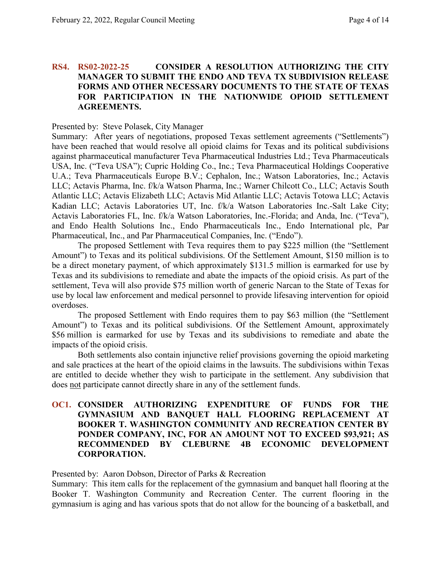## **RS4. RS02-2022-25 CONSIDER A RESOLUTION AUTHORIZING THE CITY MANAGER TO SUBMIT THE ENDO AND TEVA TX SUBDIVISION RELEASE FORMS AND OTHER NECESSARY DOCUMENTS TO THE STATE OF TEXAS FOR PARTICIPATION IN THE NATIONWIDE OPIOID SETTLEMENT AGREEMENTS.**

#### Presented by: Steve Polasek, City Manager

Summary: After years of negotiations, proposed Texas settlement agreements ("Settlements") have been reached that would resolve all opioid claims for Texas and its political subdivisions against pharmaceutical manufacturer Teva Pharmaceutical Industries Ltd.; Teva Pharmaceuticals USA, Inc. ("Teva USA"); Cupric Holding Co., Inc.; Teva Pharmaceutical Holdings Cooperative U.A.; Teva Pharmaceuticals Europe B.V.; Cephalon, Inc.; Watson Laboratories, Inc.; Actavis LLC; Actavis Pharma, Inc. f/k/a Watson Pharma, Inc.; Warner Chilcott Co., LLC; Actavis South Atlantic LLC; Actavis Elizabeth LLC; Actavis Mid Atlantic LLC; Actavis Totowa LLC; Actavis Kadian LLC; Actavis Laboratories UT, Inc. f/k/a Watson Laboratories Inc.-Salt Lake City; Actavis Laboratories FL, Inc. f/k/a Watson Laboratories, Inc.-Florida; and Anda, Inc. ("Teva"), and Endo Health Solutions Inc., Endo Pharmaceuticals Inc., Endo International plc, Par Pharmaceutical, Inc., and Par Pharmaceutical Companies, Inc. ("Endo").

The proposed Settlement with Teva requires them to pay \$225 million (the "Settlement Amount") to Texas and its political subdivisions. Of the Settlement Amount, \$150 million is to be a direct monetary payment, of which approximately \$131.5 million is earmarked for use by Texas and its subdivisions to remediate and abate the impacts of the opioid crisis. As part of the settlement, Teva will also provide \$75 million worth of generic Narcan to the State of Texas for use by local law enforcement and medical personnel to provide lifesaving intervention for opioid overdoses.

The proposed Settlement with Endo requires them to pay \$63 million (the "Settlement Amount") to Texas and its political subdivisions. Of the Settlement Amount, approximately \$56 million is earmarked for use by Texas and its subdivisions to remediate and abate the impacts of the opioid crisis.

Both settlements also contain injunctive relief provisions governing the opioid marketing and sale practices at the heart of the opioid claims in the lawsuits. The subdivisions within Texas are entitled to decide whether they wish to participate in the settlement. Any subdivision that does not participate cannot directly share in any of the settlement funds.

## **OC1. CONSIDER AUTHORIZING EXPENDITURE OF FUNDS FOR THE GYMNASIUM AND BANQUET HALL FLOORING REPLACEMENT AT BOOKER T. WASHINGTON COMMUNITY AND RECREATION CENTER BY PONDER COMPANY, INC, FOR AN AMOUNT NOT TO EXCEED \$93,921; AS RECOMMENDED BY CLEBURNE 4B ECONOMIC DEVELOPMENT CORPORATION.**

Presented by: Aaron Dobson, Director of Parks & Recreation

Summary: This item calls for the replacement of the gymnasium and banquet hall flooring at the Booker T. Washington Community and Recreation Center. The current flooring in the gymnasium is aging and has various spots that do not allow for the bouncing of a basketball, and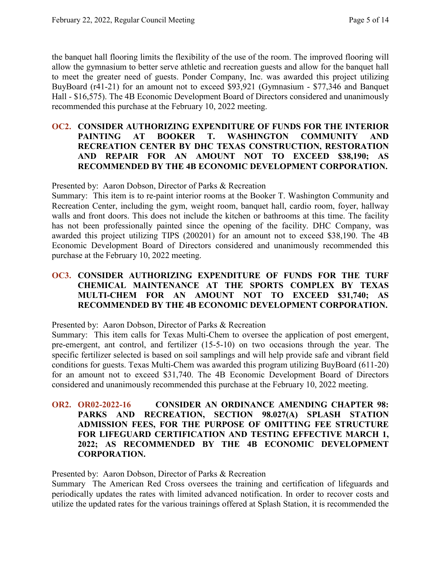the banquet hall flooring limits the flexibility of the use of the room. The improved flooring will allow the gymnasium to better serve athletic and recreation guests and allow for the banquet hall to meet the greater need of guests. Ponder Company, Inc. was awarded this project utilizing BuyBoard (r41-21) for an amount not to exceed \$93,921 (Gymnasium - \$77,346 and Banquet Hall - \$16,575). The 4B Economic Development Board of Directors considered and unanimously recommended this purchase at the February 10, 2022 meeting.

## **OC2. CONSIDER AUTHORIZING EXPENDITURE OF FUNDS FOR THE INTERIOR PAINTING AT BOOKER T. WASHINGTON COMMUNITY AND RECREATION CENTER BY DHC TEXAS CONSTRUCTION, RESTORATION AND REPAIR FOR AN AMOUNT NOT TO EXCEED \$38,190; AS RECOMMENDED BY THE 4B ECONOMIC DEVELOPMENT CORPORATION.**

Presented by: Aaron Dobson, Director of Parks & Recreation

Summary: This item is to re-paint interior rooms at the Booker T. Washington Community and Recreation Center, including the gym, weight room, banquet hall, cardio room, foyer, hallway walls and front doors. This does not include the kitchen or bathrooms at this time. The facility has not been professionally painted since the opening of the facility. DHC Company, was awarded this project utilizing TIPS (200201) for an amount not to exceed \$38,190. The 4B Economic Development Board of Directors considered and unanimously recommended this purchase at the February 10, 2022 meeting.

# **OC3. CONSIDER AUTHORIZING EXPENDITURE OF FUNDS FOR THE TURF CHEMICAL MAINTENANCE AT THE SPORTS COMPLEX BY TEXAS MULTI-CHEM FOR AN AMOUNT NOT TO EXCEED \$31,740; AS RECOMMENDED BY THE 4B ECONOMIC DEVELOPMENT CORPORATION.**

Presented by: Aaron Dobson, Director of Parks & Recreation

Summary: This item calls for Texas Multi-Chem to oversee the application of post emergent, pre-emergent, ant control, and fertilizer (15-5-10) on two occasions through the year. The specific fertilizer selected is based on soil samplings and will help provide safe and vibrant field conditions for guests. Texas Multi-Chem was awarded this program utilizing BuyBoard (611-20) for an amount not to exceed \$31,740. The 4B Economic Development Board of Directors considered and unanimously recommended this purchase at the February 10, 2022 meeting.

## **OR2. OR02-2022-16 CONSIDER AN ORDINANCE AMENDING CHAPTER 98: PARKS AND RECREATION, SECTION 98.027(A) SPLASH STATION ADMISSION FEES, FOR THE PURPOSE OF OMITTING FEE STRUCTURE FOR LIFEGUARD CERTIFICATION AND TESTING EFFECTIVE MARCH 1, 2022; AS RECOMMENDED BY THE 4B ECONOMIC DEVELOPMENT CORPORATION.**

Presented by: Aaron Dobson, Director of Parks & Recreation

Summary The American Red Cross oversees the training and certification of lifeguards and periodically updates the rates with limited advanced notification. In order to recover costs and utilize the updated rates for the various trainings offered at Splash Station, it is recommended the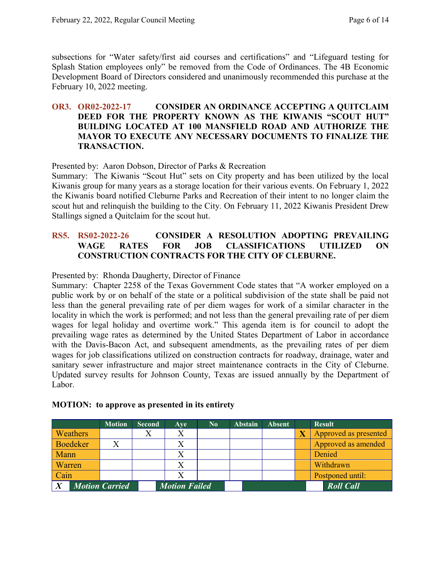subsections for "Water safety/first aid courses and certifications" and "Lifeguard testing for Splash Station employees only" be removed from the Code of Ordinances. The 4B Economic Development Board of Directors considered and unanimously recommended this purchase at the February 10, 2022 meeting.

# **OR3. OR02-2022-17 CONSIDER AN ORDINANCE ACCEPTING A QUITCLAIM DEED FOR THE PROPERTY KNOWN AS THE KIWANIS "SCOUT HUT" BUILDING LOCATED AT 100 MANSFIELD ROAD AND AUTHORIZE THE MAYOR TO EXECUTE ANY NECESSARY DOCUMENTS TO FINALIZE THE TRANSACTION.**

Presented by: Aaron Dobson, Director of Parks & Recreation

Summary: The Kiwanis "Scout Hut" sets on City property and has been utilized by the local Kiwanis group for many years as a storage location for their various events. On February 1, 2022 the Kiwanis board notified Cleburne Parks and Recreation of their intent to no longer claim the scout hut and relinquish the building to the City. On February 11, 2022 Kiwanis President Drew Stallings signed a Quitclaim for the scout hut.

# **RS5. RS02-2022-26 CONSIDER A RESOLUTION ADOPTING PREVAILING WAGE RATES FOR JOB CLASSIFICATIONS UTILIZED ON CONSTRUCTION CONTRACTS FOR THE CITY OF CLEBURNE.**

Presented by: Rhonda Daugherty, Director of Finance

Summary: Chapter 2258 of the Texas Government Code states that "A worker employed on a public work by or on behalf of the state or a political subdivision of the state shall be paid not less than the general prevailing rate of per diem wages for work of a similar character in the locality in which the work is performed; and not less than the general prevailing rate of per diem wages for legal holiday and overtime work." This agenda item is for council to adopt the prevailing wage rates as determined by the United States Department of Labor in accordance with the Davis-Bacon Act, and subsequent amendments, as the prevailing rates of per diem wages for job classifications utilized on construction contracts for roadway, drainage, water and sanitary sewer infrastructure and major street maintenance contracts in the City of Cleburne. Updated survey results for Johnson County, Texas are issued annually by the Department of Labor.

|                       |                 | <b>Motion</b> | <b>Second</b> | Ave                  | $\bf No$ | <b>Abstain</b> | <b>Absent</b> | <b>Result</b>         |
|-----------------------|-----------------|---------------|---------------|----------------------|----------|----------------|---------------|-----------------------|
|                       | <b>Weathers</b> |               |               | $\rm X$              |          |                |               | Approved as presented |
|                       | <b>Boedeker</b> |               |               |                      |          |                |               | Approved as amended   |
| Mann                  |                 |               |               |                      |          |                |               | Denied                |
| Warren                |                 |               |               |                      |          |                |               | Withdrawn             |
| Cain                  |                 |               |               |                      |          |                |               | Postponed until:      |
| <b>Motion Carried</b> |                 |               |               | <b>Motion Failed</b> |          |                |               | <b>Roll Call</b>      |

#### **MOTION: to approve as presented in its entirety**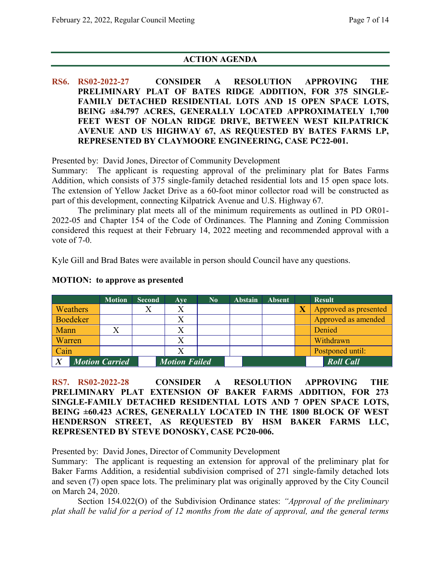# **ACTION AGENDA**

**RS6. RS02-2022-27 CONSIDER A RESOLUTION APPROVING THE PRELIMINARY PLAT OF BATES RIDGE ADDITION, FOR 375 SINGLE-FAMILY DETACHED RESIDENTIAL LOTS AND 15 OPEN SPACE LOTS, BEING ±84.797 ACRES, GENERALLY LOCATED APPROXIMATELY 1,700 FEET WEST OF NOLAN RIDGE DRIVE, BETWEEN WEST KILPATRICK AVENUE AND US HIGHWAY 67, AS REQUESTED BY BATES FARMS LP, REPRESENTED BY CLAYMOORE ENGINEERING, CASE PC22-001.**

Presented by: David Jones, Director of Community Development

Summary: The applicant is requesting approval of the preliminary plat for Bates Farms Addition, which consists of 375 single-family detached residential lots and 15 open space lots. The extension of Yellow Jacket Drive as a 60-foot minor collector road will be constructed as part of this development, connecting Kilpatrick Avenue and U.S. Highway 67.

The preliminary plat meets all of the minimum requirements as outlined in PD OR01- 2022-05 and Chapter 154 of the Code of Ordinances. The Planning and Zoning Commission considered this request at their February 14, 2022 meeting and recommended approval with a vote of 7-0.

Kyle Gill and Brad Bates were available in person should Council have any questions.

|                |                 | <b>Motion</b>         | <b>Second</b> | Ave                  | $\bf No$ | Abstain | Absent | <b>Result</b>         |
|----------------|-----------------|-----------------------|---------------|----------------------|----------|---------|--------|-----------------------|
|                | <b>Weathers</b> |                       |               |                      |          |         |        | Approved as presented |
|                | Boedeker        |                       |               |                      |          |         |        | Approved as amended   |
| Mann           |                 |                       |               |                      |          |         |        | Denied                |
| <b>Warren</b>  |                 |                       |               |                      |          |         |        | Withdrawn             |
| $\vert$ Cain   |                 |                       |               |                      |          |         |        | Postponed until:      |
| $\overline{X}$ |                 | <b>Motion Carried</b> |               | <b>Motion Failed</b> |          |         |        | <b>Roll Call</b>      |

#### **MOTION: to approve as presented**

**RS7. RS02-2022-28 CONSIDER A RESOLUTION APPROVING THE PRELIMINARY PLAT EXTENSION OF BAKER FARMS ADDITION, FOR 273 SINGLE-FAMILY DETACHED RESIDENTIAL LOTS AND 7 OPEN SPACE LOTS, BEING ±60.423 ACRES, GENERALLY LOCATED IN THE 1800 BLOCK OF WEST HENDERSON STREET, AS REQUESTED BY HSM BAKER FARMS LLC, REPRESENTED BY STEVE DONOSKY, CASE PC20-006.**

Presented by: David Jones, Director of Community Development

Summary: The applicant is requesting an extension for approval of the preliminary plat for Baker Farms Addition, a residential subdivision comprised of 271 single-family detached lots and seven (7) open space lots. The preliminary plat was originally approved by the City Council on March 24, 2020.

Section 154.022(O) of the Subdivision Ordinance states: *"Approval of the preliminary plat shall be valid for a period of 12 months from the date of approval, and the general terms*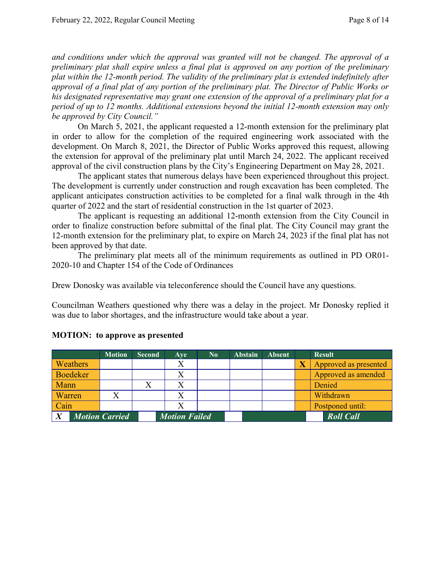*and conditions under which the approval was granted will not be changed. The approval of a preliminary plat shall expire unless a final plat is approved on any portion of the preliminary plat within the 12-month period. The validity of the preliminary plat is extended indefinitely after approval of a final plat of any portion of the preliminary plat. The Director of Public Works or his designated representative may grant one extension of the approval of a preliminary plat for a period of up to 12 months. Additional extensions beyond the initial 12-month extension may only be approved by City Council."*

On March 5, 2021, the applicant requested a 12-month extension for the preliminary plat in order to allow for the completion of the required engineering work associated with the development. On March 8, 2021, the Director of Public Works approved this request, allowing the extension for approval of the preliminary plat until March 24, 2022. The applicant received approval of the civil construction plans by the City's Engineering Department on May 28, 2021.

The applicant states that numerous delays have been experienced throughout this project. The development is currently under construction and rough excavation has been completed. The applicant anticipates construction activities to be completed for a final walk through in the 4th quarter of 2022 and the start of residential construction in the 1st quarter of 2023.

The applicant is requesting an additional 12-month extension from the City Council in order to finalize construction before submittal of the final plat. The City Council may grant the 12-month extension for the preliminary plat, to expire on March 24, 2023 if the final plat has not been approved by that date.

The preliminary plat meets all of the minimum requirements as outlined in PD OR01- 2020-10 and Chapter 154 of the Code of Ordinances

Drew Donosky was available via teleconference should the Council have any questions.

Councilman Weathers questioned why there was a delay in the project. Mr Donosky replied it was due to labor shortages, and the infrastructure would take about a year.

|                       |                 | <b>Motion</b> | <b>Second</b>        | Aye | $\bf No$ | <b>Abstain</b> | <b>Absent</b>    | <b>Result</b>         |
|-----------------------|-----------------|---------------|----------------------|-----|----------|----------------|------------------|-----------------------|
|                       | <b>Weathers</b> |               |                      |     |          |                |                  | Approved as presented |
|                       | <b>Boedeker</b> |               |                      |     |          |                |                  | Approved as amended   |
| Mann                  |                 |               |                      |     |          |                |                  | Denied                |
| Warren                |                 |               |                      |     |          |                |                  | Withdrawn             |
| Cain                  |                 |               |                      |     |          |                |                  | Postponed until:      |
| <b>Motion Carried</b> |                 |               | <b>Motion Failed</b> |     |          |                | <b>Roll Call</b> |                       |

# **MOTION: to approve as presented**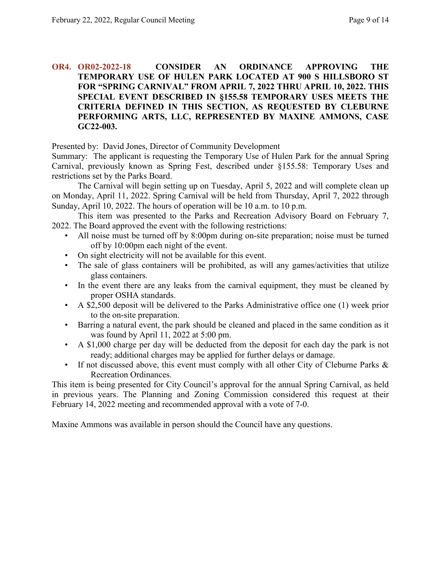## **OR4. OR02-2022-18 CONSIDER AN ORDINANCE APPROVING THE TEMPORARY USE OF HULEN PARK LOCATED AT 900 S HILLSBORO ST FOR "SPRING CARNIVAL" FROM APRIL 7, 2022 THRU APRIL 10, 2022. THIS SPECIAL EVENT DESCRIBED IN §155.58 TEMPORARY USES MEETS THE CRITERIA DEFINED IN THIS SECTION, AS REQUESTED BY CLEBURNE PERFORMING ARTS, LLC, REPRESENTED BY MAXINE AMMONS, CASE GC22-003.**

Presented by: David Jones, Director of Community Development

Summary: The applicant is requesting the Temporary Use of Hulen Park for the annual Spring Carnival, previously known as Spring Fest, described under §155.58: Temporary Uses and restrictions set by the Parks Board.

The Carnival will begin setting up on Tuesday, April 5, 2022 and will complete clean up on Monday, April 11, 2022. Spring Carnival will be held from Thursday, April 7, 2022 through Sunday, April 10, 2022. The hours of operation will be 10 a.m. to 10 p.m.

This item was presented to the Parks and Recreation Advisory Board on February 7, 2022. The Board approved the event with the following restrictions:

- All noise must be turned off by 8:00pm during on-site preparation; noise must be turned off by 10:00pm each night of the event.
- On sight electricity will not be available for this event.
- The sale of glass containers will be prohibited, as will any games/activities that utilize glass containers.
- In the event there are any leaks from the carnival equipment, they must be cleaned by proper OSHA standards.
- A \$2,500 deposit will be delivered to the Parks Administrative office one (1) week prior to the on-site preparation.
- Barring a natural event, the park should be cleaned and placed in the same condition as it was found by April 11, 2022 at 5:00 pm.
- A \$1,000 charge per day will be deducted from the deposit for each day the park is not ready; additional charges may be applied for further delays or damage.
- If not discussed above, this event must comply with all other City of Cleburne Parks  $\&$ Recreation Ordinances.

This item is being presented for City Council's approval for the annual Spring Carnival, as held in previous years. The Planning and Zoning Commission considered this request at their February 14, 2022 meeting and recommended approval with a vote of 7-0.

Maxine Ammons was available in person should the Council have any questions.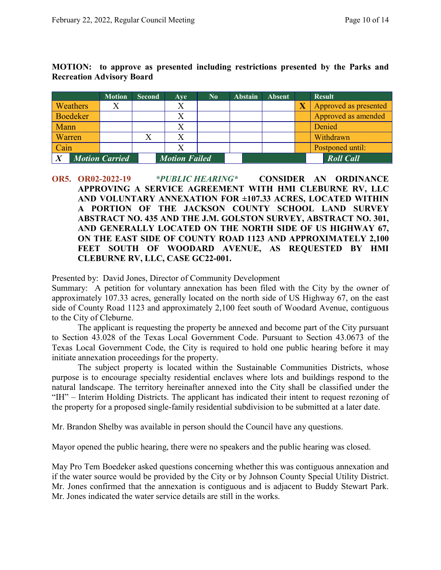|        |                 | <b>Motion</b>         | <b>Second</b> | Ave                  | $\bf No$ | <b>Abstain</b> | <b>Absent</b> | <b>Result</b>         |
|--------|-----------------|-----------------------|---------------|----------------------|----------|----------------|---------------|-----------------------|
|        | Weathers        | Х                     |               | X                    |          |                |               | Approved as presented |
|        | <b>Boedeker</b> |                       |               |                      |          |                |               | Approved as amended   |
| Mann   |                 |                       |               |                      |          |                |               | Denied                |
| Warren |                 |                       |               |                      |          |                |               | Withdrawn             |
| Cain   |                 |                       |               |                      |          |                |               | Postponed until:      |
|        |                 | <b>Motion Carried</b> |               | <b>Motion Failed</b> |          |                |               | <b>Roll Call</b>      |

**MOTION: to approve as presented including restrictions presented by the Parks and Recreation Advisory Board**

Presented by: David Jones, Director of Community Development

Summary: A petition for voluntary annexation has been filed with the City by the owner of approximately 107.33 acres, generally located on the north side of US Highway 67, on the east side of County Road 1123 and approximately 2,100 feet south of Woodard Avenue, contiguous to the City of Cleburne.

The applicant is requesting the property be annexed and become part of the City pursuant to Section 43.028 of the Texas Local Government Code. Pursuant to Section 43.0673 of the Texas Local Government Code, the City is required to hold one public hearing before it may initiate annexation proceedings for the property.

The subject property is located within the Sustainable Communities Districts, whose purpose is to encourage specialty residential enclaves where lots and buildings respond to the natural landscape. The territory hereinafter annexed into the City shall be classified under the "IH" – Interim Holding Districts. The applicant has indicated their intent to request rezoning of the property for a proposed single-family residential subdivision to be submitted at a later date.

Mr. Brandon Shelby was available in person should the Council have any questions.

Mayor opened the public hearing, there were no speakers and the public hearing was closed.

May Pro Tem Boedeker asked questions concerning whether this was contiguous annexation and if the water source would be provided by the City or by Johnson County Special Utility District. Mr. Jones confirmed that the annexation is contiguous and is adjacent to Buddy Stewart Park. Mr. Jones indicated the water service details are still in the works.

**OR5. OR02-2022-19** *\*PUBLIC HEARING\** **CONSIDER AN ORDINANCE APPROVING A SERVICE AGREEMENT WITH HMI CLEBURNE RV, LLC AND VOLUNTARY ANNEXATION FOR ±107.33 ACRES, LOCATED WITHIN A PORTION OF THE JACKSON COUNTY SCHOOL LAND SURVEY ABSTRACT NO. 435 AND THE J.M. GOLSTON SURVEY, ABSTRACT NO. 301, AND GENERALLY LOCATED ON THE NORTH SIDE OF US HIGHWAY 67, ON THE EAST SIDE OF COUNTY ROAD 1123 AND APPROXIMATELY 2,100 FEET SOUTH OF WOODARD AVENUE, AS REQUESTED BY HMI CLEBURNE RV, LLC, CASE GC22-001.**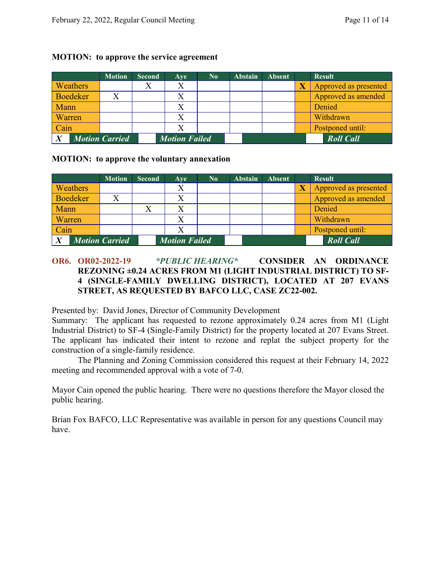|                 |  | <b>Motion</b>         | <b>Second</b> | Ave                  | $\bf No$ | <b>Abstain</b> | <b>Absent</b> | <b>Result</b>         |
|-----------------|--|-----------------------|---------------|----------------------|----------|----------------|---------------|-----------------------|
| <b>Weathers</b> |  |                       |               | X                    |          |                |               | Approved as presented |
| Boedeker        |  |                       |               |                      |          |                |               | Approved as amended   |
| <b>Mann</b>     |  |                       |               |                      |          |                |               | Denied                |
| Warren/         |  |                       |               |                      |          |                |               | Withdrawn             |
| Cain            |  |                       |               |                      |          |                |               | Postponed until:      |
| $\mathbf{v}$    |  | <b>Motion Carried</b> |               | <b>Motion Failed</b> |          |                |               | <b>Roll Call</b>      |

#### **MOTION: to approve the service agreement**

## **MOTION: to approve the voluntary annexation**

|                 | <b>Motion</b>         | <b>Second</b> | <b>Ave</b>           | $\bf No$ | <b>Abstain</b> | <b>Absent</b> | <b>Result</b>         |
|-----------------|-----------------------|---------------|----------------------|----------|----------------|---------------|-----------------------|
| <b>Weathers</b> |                       |               | X                    |          |                |               | Approved as presented |
| Boedeker        | X                     |               |                      |          |                |               | Approved as amended   |
| Mann            |                       |               |                      |          |                |               | Denied                |
| Warren          |                       |               |                      |          |                |               | Withdrawn             |
| Cain            |                       |               |                      |          |                |               | Postponed until:      |
|                 | <b>Motion Carried</b> |               | <b>Motion Failed</b> |          |                |               | <b>Roll Call</b>      |

# **OR6. OR02-2022-19** *\*PUBLIC HEARING\** **CONSIDER AN ORDINANCE REZONING ±0.24 ACRES FROM M1 (LIGHT INDUSTRIAL DISTRICT) TO SF-4 (SINGLE-FAMILY DWELLING DISTRICT), LOCATED AT 207 EVANS STREET, AS REQUESTED BY BAFCO LLC, CASE ZC22-002.**

Presented by: David Jones, Director of Community Development

Summary: The applicant has requested to rezone approximately 0.24 acres from M1 (Light Industrial District) to SF-4 (Single-Family District) for the property located at 207 Evans Street. The applicant has indicated their intent to rezone and replat the subject property for the construction of a single-family residence.

The Planning and Zoning Commission considered this request at their February 14, 2022 meeting and recommended approval with a vote of 7-0.

Mayor Cain opened the public hearing. There were no questions therefore the Mayor closed the public hearing.

Brian Fox BAFCO, LLC Representative was available in person for any questions Council may have.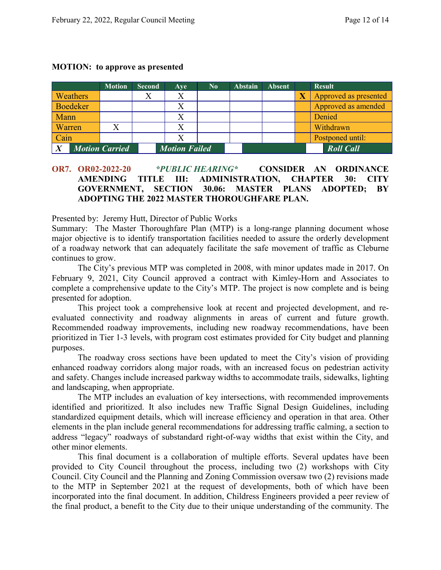#### **MOTION: to approve as presented**

|                                           |                 | <b>Motion</b> | <b>Second</b>        | Ave | $\bf No$ | <b>Abstain</b> | <b>Absent</b> |                  | <b>Result</b>         |
|-------------------------------------------|-----------------|---------------|----------------------|-----|----------|----------------|---------------|------------------|-----------------------|
|                                           | <b>Weathers</b> |               |                      |     |          |                |               |                  | Approved as presented |
|                                           | Boedeker        |               |                      |     |          |                |               |                  | Approved as amended   |
| <b>Mann</b>                               |                 |               |                      |     |          |                |               |                  | Denied                |
| <b>Warren</b>                             |                 |               |                      |     |          |                |               |                  | Withdrawn             |
| Cain                                      |                 |               |                      |     |          |                |               |                  | Postponed until:      |
| $\boldsymbol{X}$<br><b>Motion Carried</b> |                 |               | <b>Motion Failed</b> |     |          |                |               | <b>Roll Call</b> |                       |

# **OR7. OR02-2022-20** *\*PUBLIC HEARING\** **CONSIDER AN ORDINANCE AMENDING TITLE III: ADMINISTRATION, CHAPTER 30: CITY GOVERNMENT, SECTION 30.06: MASTER PLANS ADOPTED; BY ADOPTING THE 2022 MASTER THOROUGHFARE PLAN.**

Presented by: Jeremy Hutt, Director of Public Works

Summary: The Master Thoroughfare Plan (MTP) is a long-range planning document whose major objective is to identify transportation facilities needed to assure the orderly development of a roadway network that can adequately facilitate the safe movement of traffic as Cleburne continues to grow.

The City's previous MTP was completed in 2008, with minor updates made in 2017. On February 9, 2021, City Council approved a contract with Kimley-Horn and Associates to complete a comprehensive update to the City's MTP. The project is now complete and is being presented for adoption.

This project took a comprehensive look at recent and projected development, and reevaluated connectivity and roadway alignments in areas of current and future growth. Recommended roadway improvements, including new roadway recommendations, have been prioritized in Tier 1-3 levels, with program cost estimates provided for City budget and planning purposes.

The roadway cross sections have been updated to meet the City's vision of providing enhanced roadway corridors along major roads, with an increased focus on pedestrian activity and safety. Changes include increased parkway widths to accommodate trails, sidewalks, lighting and landscaping, when appropriate.

The MTP includes an evaluation of key intersections, with recommended improvements identified and prioritized. It also includes new Traffic Signal Design Guidelines, including standardized equipment details, which will increase efficiency and operation in that area. Other elements in the plan include general recommendations for addressing traffic calming, a section to address "legacy" roadways of substandard right-of-way widths that exist within the City, and other minor elements.

This final document is a collaboration of multiple efforts. Several updates have been provided to City Council throughout the process, including two (2) workshops with City Council. City Council and the Planning and Zoning Commission oversaw two (2) revisions made to the MTP in September 2021 at the request of developments, both of which have been incorporated into the final document. In addition, Childress Engineers provided a peer review of the final product, a benefit to the City due to their unique understanding of the community. The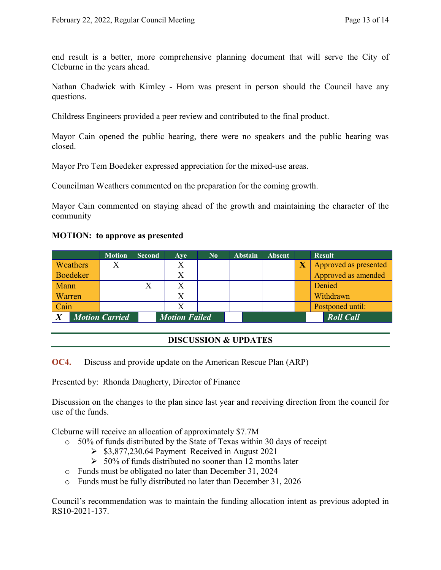end result is a better, more comprehensive planning document that will serve the City of Cleburne in the years ahead.

Nathan Chadwick with Kimley - Horn was present in person should the Council have any questions.

Childress Engineers provided a peer review and contributed to the final product.

Mayor Cain opened the public hearing, there were no speakers and the public hearing was closed.

Mayor Pro Tem Boedeker expressed appreciation for the mixed-use areas.

Councilman Weathers commented on the preparation for the coming growth.

Mayor Cain commented on staying ahead of the growth and maintaining the character of the community

#### **MOTION: to approve as presented**

|                       | <b>Motion</b> | <b>Second</b>        | Ave | $\bf No$ | <b>Abstain</b> | <b>Absent</b>    | <b>Result</b>         |
|-----------------------|---------------|----------------------|-----|----------|----------------|------------------|-----------------------|
| Weathers              |               |                      |     |          |                |                  | Approved as presented |
| <b>Boedeker</b>       |               |                      |     |          |                |                  | Approved as amended   |
| Mann                  |               |                      |     |          |                |                  | Denied                |
| Warren                |               |                      |     |          |                |                  | Withdrawn             |
| Cain                  |               |                      |     |          |                |                  | Postponed until:      |
| <b>Motion Carried</b> |               | <b>Motion Failed</b> |     |          |                | <b>Roll</b> Call |                       |

# **DISCUSSION & UPDATES**

**OC4.** Discuss and provide update on the American Rescue Plan (ARP)

Presented by: Rhonda Daugherty, Director of Finance

Discussion on the changes to the plan since last year and receiving direction from the council for use of the funds.

Cleburne will receive an allocation of approximately \$7.7M

- o 50% of funds distributed by the State of Texas within 30 days of receipt
	- $\geq$  \$3,877,230.64 Payment Received in August 2021
	- $>$  50% of funds distributed no sooner than 12 months later
- o Funds must be obligated no later than December 31, 2024
- o Funds must be fully distributed no later than December 31, 2026

Council's recommendation was to maintain the funding allocation intent as previous adopted in RS10-2021-137.